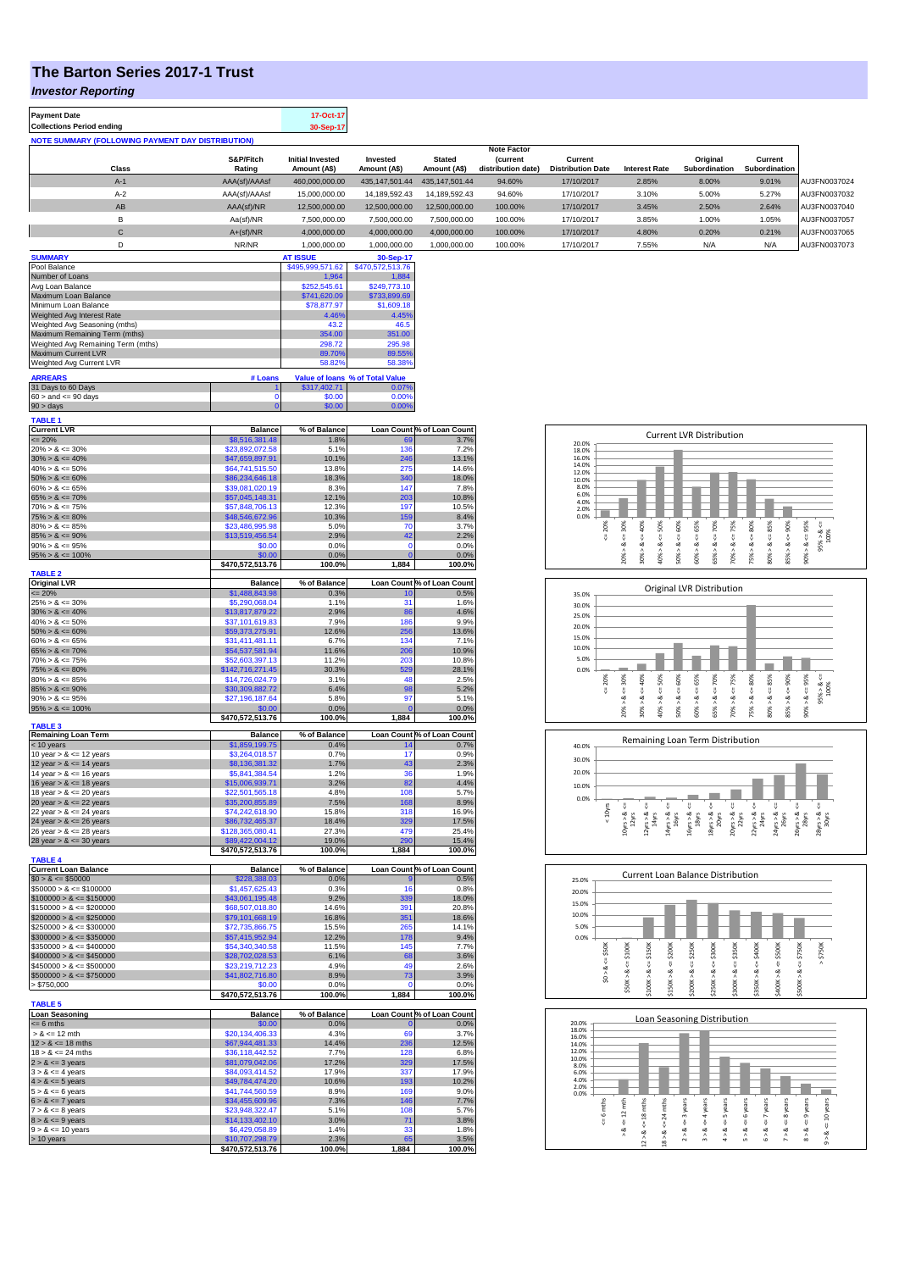## **The Barton Series 2017-1 Trust**

*Investor Reporting*

**Payment Date 17-Oct-17 Collections Period ending** 

| <b>NOTE SUMMARY (FOLLOWING PAYMENT DAY DISTRIBUTION)</b> |  |
|----------------------------------------------------------|--|
|                                                          |  |

|                 |              |               |                         |                  |                | <b>Note Factor</b> |                          |                      |                      |               |              |
|-----------------|--------------|---------------|-------------------------|------------------|----------------|--------------------|--------------------------|----------------------|----------------------|---------------|--------------|
|                 |              | S&P/Fitch     | <b>Initial Invested</b> | Invested         | <b>Stated</b>  | <b>(current</b>    | Current                  |                      | Original             | Current       |              |
|                 | Class        | Rating        | Amount (A\$)            | Amount (A\$)     | Amount (A\$)   | distribution date) | <b>Distribution Date</b> | <b>Interest Rate</b> | <b>Subordination</b> | Subordination |              |
|                 | $A-1$        | AAA(sf)/AAAsf | 460,000,000.00          | 435.147.501.44   | 435.147.501.44 | 94.60%             | 17/10/2017               | 2.85%                | 8.00%                | 9.01%         | AU3FN0037024 |
|                 | $A-2$        | AAA(sf)/AAAsf | 15,000,000.00           | 14,189,592.43    | 14.189.592.43  | 94.60%             | 17/10/2017               | 3.10%                | 5.00%                | 5.27%         | AU3FN0037032 |
|                 | AB           | AAA(sf)/NR    | 12,500,000.00           | 12,500,000.00    | 12.500.000.00  | 100.00%            | 17/10/2017               | 3.45%                | 2.50%                | 2.64%         | AU3FN0037040 |
|                 | в            | Aa(sf)/NR     | 7,500,000.00            | 7,500,000.00     | 7,500,000.00   | 100.00%            | 17/10/2017               | 3.85%                | 1.00%                | 1.05%         | AU3FN0037057 |
|                 | $\mathsf{C}$ | $A+(sf)/NR$   | 4,000,000.00            | 4,000,000.00     | 4,000,000.00   | 100.00%            | 17/10/2017               | 4.80%                | 0.20%                | 0.21%         | AU3FN0037065 |
|                 | n.           | NR/NR         | 1.000.000.00            | 1.000.000.00     | 1.000.000.00   | 100.00%            | 17/10/2017               | 7.55%                | N/A                  | N/A           | AU3FN0037073 |
| <b>SUMMARY</b>  |              |               | <b>AT ISSUE</b>         | 30-Sep-17        |                |                    |                          |                      |                      |               |              |
| Pool Balance    |              |               | \$495,999,571.62        | \$470,572,513.76 |                |                    |                          |                      |                      |               |              |
| Number of Loans |              |               | 1,964                   | 1,884            |                |                    |                          |                      |                      |               |              |

| Avg Loan Balance                   |                       | \$252,545.61 | \$249,773.10                           |                            |
|------------------------------------|-----------------------|--------------|----------------------------------------|----------------------------|
| Maximum Loan Balance               |                       | \$741,620.09 | \$733,899.69                           |                            |
| Minimum Loan Balance               |                       | \$78,877.97  | \$1,609.18                             |                            |
| Weighted Avg Interest Rate         |                       | 4.46%        | 4.45%                                  |                            |
| Weighted Avg Seasoning (mths)      |                       | 43.2         | 46.5                                   |                            |
| Maximum Remaining Term (mths)      |                       | 354.00       | 351.00                                 |                            |
| Weighted Avg Remaining Term (mths) |                       | 298.72       | 295.98                                 |                            |
| Maximum Current LVR                |                       | 89.70%       | 89.55%                                 |                            |
| Weighted Avg Current LVR           |                       | 58.82%       | 58.38%                                 |                            |
| <b>ARREARS</b>                     | # Loans               |              | <b>Value of loans % of Total Value</b> |                            |
| 31 Days to 60 Days                 |                       | \$317,402.71 | 0.07%                                  |                            |
| $60 >$ and $\leq 90$ days          | 0                     | \$0.00       | 0.00%                                  |                            |
| $90 > \text{days}$                 | n                     | \$0.00       | 0.00%                                  |                            |
| <b>TABLE 1</b>                     |                       |              |                                        |                            |
| <b>Current LVR</b>                 | <b>Balance</b>        | % of Balance |                                        | Loan Count % of Loan Count |
| $\leq$ 20%                         | \$8,516,381.48        | 1.8%         | 69                                     | 3.7%                       |
| $20\% > 8 \le 30\%$                | \$23,892,072.58       | 5.1%         | 136                                    | 7.2%                       |
| $30\% > 8 \le 40\%$                | \$47,659,897.91       | 10.1%        | 246                                    | 13.1%                      |
| $40\% > 8 \le 50\%$                | \$64,741,515.50       | 13.8%        | 275                                    | 14.6%                      |
| $50\% > 8 \le 60\%$                | \$86,234,646.18       | 18.3%        | 340                                    | 18.0%                      |
| $60\% > 8 \le 65\%$                | \$39,081,020.19       | 8.3%         | 147                                    | 7.8%                       |
| $65\% > 8 \le 70\%$                | \$57,045,148.31       | 12.1%        | 203                                    | 10.8%                      |
| $70\% > 8 \le 75\%$                | \$57,848,706.13       | 12.3%        | 197                                    | 10.5%                      |
| $75\% > 8 \le 80\%$                | \$48,546,672.96       | 10.3%        | 159                                    | 8.4%                       |
| $80\% > 8 \leq 85\%$               | \$23,486,995.98       | 5.0%         | 70                                     | 3.7%                       |
| $85\% > 8 \le 90\%$                | \$13,519,456.54       | 2.9%         | 42                                     | 2.2%                       |
| $90\% > 8 \le 95\%$                | \$0.00                | 0.0%         | $\Omega$                               | 0.0%                       |
| $95\% > 8 \le 100\%$               | \$0.00                | 0.0%         | $\Omega$                               | 0.0%                       |
|                                    | \$470.572.513.76      | 100.0%       | 1.884                                  | 100.0%                     |
| <b>TABLE 2</b>                     |                       |              |                                        |                            |
| <b>Original LVR</b>                | <b>Balance</b>        | % of Balance |                                        | Loan Count % of Loan Count |
| $= 20%$                            | \$1,488,843,98        | 0.3%         | 10                                     | 0.5%                       |
| $25\% > 8 \le 30\%$                | \$5,290,068,04        | 1.1%         | 31                                     | 1.6%                       |
| $30\% > 8 \le 40\%$                | \$13,817,879.22       | 2.9%         | 86                                     | 4.6%                       |
| $40\% > 8 \le 50\%$                | \$37,101,619.83       | 7.9%         | 186                                    | 9.9%                       |
| $50\% > 8 \le 60\%$                | \$59,373,275.91       | 12.6%        | 256                                    | 13.6%                      |
| $60\% > 8 \le 65\%$                | \$31,411,481.11       | 6.7%         | 134                                    | 7.1%                       |
| $650/2 - 8 = 700/2$                | <b>CEA E27 E21 04</b> | 11 694       | <b>OOC</b>                             | 10.001                     |

| $65\% > 8 \le 70\%$                                      | \$54,537,581.94                     | 11.6%                | 206            | 10.9%                             |
|----------------------------------------------------------|-------------------------------------|----------------------|----------------|-----------------------------------|
| $70\% > 8 \le 75\%$                                      | \$52,603,397.13                     | 11.2%                | 203            | 10.8%                             |
| $75\% > 8 \le 80\%$                                      | \$142,716,271.45                    | 30.3%                | 529            | 28.1%                             |
| $80\% > 8 \le 85\%$                                      | \$14,726,024.79                     | 3.1%                 | 48             | 2.5%                              |
| $85\% > 8 \le 90\%$                                      | \$30,309,882.72                     | 6.4%                 | 98             | 5.2%                              |
| $90\% > 8 \le 95\%$                                      | \$27,196,187.64                     | 5.8%                 | 97             | 5.1%                              |
| $95\% > 8 \le 100\%$                                     | \$0.00                              | 0.0%                 | $\Omega$       | 0.0%                              |
|                                                          | \$470,572,513.76                    | 100.0%               | 1.884          | 100.0%                            |
| <b>TABLE 3</b>                                           |                                     |                      |                | <b>Loan Count % of Loan Count</b> |
| Remaining Loan Term<br>$<$ 10 years                      | <b>Balance</b><br>\$1,859,199.75    | % of Balance<br>0.4% | 14             | 0.7%                              |
| 10 year $> 8 \le 12$ years                               | \$3,264,018.57                      | 0.7%                 | 17             | 0.9%                              |
| 12 year $> 8 \le 14$ years                               | \$8,136,381.32                      | 1.7%                 | 43             | 2.3%                              |
| 14 year $> 8 \le 16$ years                               | \$5,841,384.54                      | 1.2%                 | 36             | 1.9%                              |
|                                                          |                                     | 3.2%                 | 82             | 4.4%                              |
| 16 year $> 8 \le 18$ years                               | \$15,006,939.71                     | 4.8%                 | 108            |                                   |
| 18 year $> 8 \le 20$ years<br>20 year $> 8 \le 22$ years | \$22,501,565.18                     | 7.5%                 | 168            | 5.7%                              |
|                                                          | \$35,200,855.89<br>\$74,242,618.90  | 15.8%                | 318            | 8.9%                              |
| 22 year $> 8 \le 24$ years                               |                                     |                      | 329            | 16.9%<br>17.5%                    |
| 24 year $> 8 \le 26$ years                               | \$86,732,465.37<br>\$128,365,080.41 | 18.4%<br>27.3%       | 479            | 25.4%                             |
| 26 year $> 8 \le 28$ years                               | \$89,422,004.12                     | 19.0%                | 290            | 15.4%                             |
| 28 year $> 8 \le 30$ years                               |                                     |                      | 1,884          |                                   |
| <b>TABLE 4</b>                                           | \$470,572,513.76                    | 100.0%               |                | 100.0%                            |
| <b>Current Loan Balance</b>                              | <b>Balance</b>                      | % of Balance         |                | Loan Count % of Loan Count        |
| $$0 > 8 \le $50000$                                      | \$228,388.03                        | 0.0%                 | 9              | 0.5%                              |
| $$50000 > 8 \le $100000$                                 | \$1,457,625.43                      | 0.3%                 | 16             | 0.8%                              |
| $$100000 > 8 \le $150000$                                | \$43,061,195.48                     | 9.2%                 | 339            | 18.0%                             |
| $$150000 > 8 \leq $200000$                               | \$68,507,018.80                     | 14.6%                | 391            | 20.8%                             |
| $$200000 > 8 \leq $250000$                               | \$79,101,668.19                     | 16.8%                | 351            | 18.6%                             |
| $$250000 > 8 \leq $300000$                               | \$72,735,866.75                     | 15.5%                | 265            | 14.1%                             |
| $$300000 > 8 \leq $350000$                               | \$57,415,952.94                     | 12.2%                | 178            | 9.4%                              |
| $$350000 > 8 \leq $400000$                               | \$54,340,340.58                     | 11.5%                | 145            | <b>7.7%</b>                       |
| $$400000 > 8 \leq $450000$                               | \$28,702,028.53                     | 6.1%                 | 68             | 3.6%                              |
| $$450000 > 8 \le $500000$                                | \$23,219,712.23                     | 4.9%                 | 49             | 2.6%                              |
| $$500000 > 8 \le $750000$                                | \$41,802,716.80                     | 8.9%                 | 73             | 3.9%                              |
| > \$750,000                                              | \$0.00                              | 0.0%                 | $\Omega$       | 0.0%                              |
|                                                          | \$470,572,513.76                    | 100.0%               | 1,884          | 100.0%                            |
| <b>TABLE 5</b>                                           |                                     |                      |                |                                   |
| <b>Loan Seasoning</b>                                    | <b>Balance</b>                      | % of Balance         |                | Loan Count % of Loan Count        |
| $= 6$ mths                                               | \$0.00                              | 0.0%                 | $\overline{0}$ | 0.0%                              |
| $> 8 \le 12$ mth                                         | \$20,134,406.33                     | 4.3%                 | 69             | 3.7%                              |
| $12 > 8 \le 18$ mths                                     | \$67,944,481.33                     | 14.4%                | 236            | 12.5%                             |
| $18 > 8 \le 24$ mths                                     | \$36,118,442.52                     | 7.7%                 | 128            | 6.8%                              |
| $2 > 8 \le 3$ years                                      | \$81,079,042.06                     | 17.2%                | 329            | 17.5%                             |
| $3 > 8 \le 4$ years                                      | \$84,093,414.52                     | 17.9%                | 337            | 17.9%                             |
| $4 > 8 \le 5$ years                                      | \$49,784,474.20                     | 10.6%                | 193            | 10.2%                             |
| $5 > 8 \le 6$ years                                      | \$41,744,560.59                     | 8.9%                 | 169            | 9.0%                              |
| $6 > 8 \le 7$ years                                      | \$34,455,609.96                     | 7.3%                 | 146            | 7.7%                              |

7 > & <= 8 years \$23,948,322.47 5.1% 108 5.7%  $8 > 8 \leq 9$  years  $3.8\%$ 9 > & <= 10 years \$6,429,058.89 1.4% 33 1.8%<br>> 1.9% 510,707,298.79 2.3% 65 3.5%

**\$470,572,513.76 100.0% 1,884 100.0%**









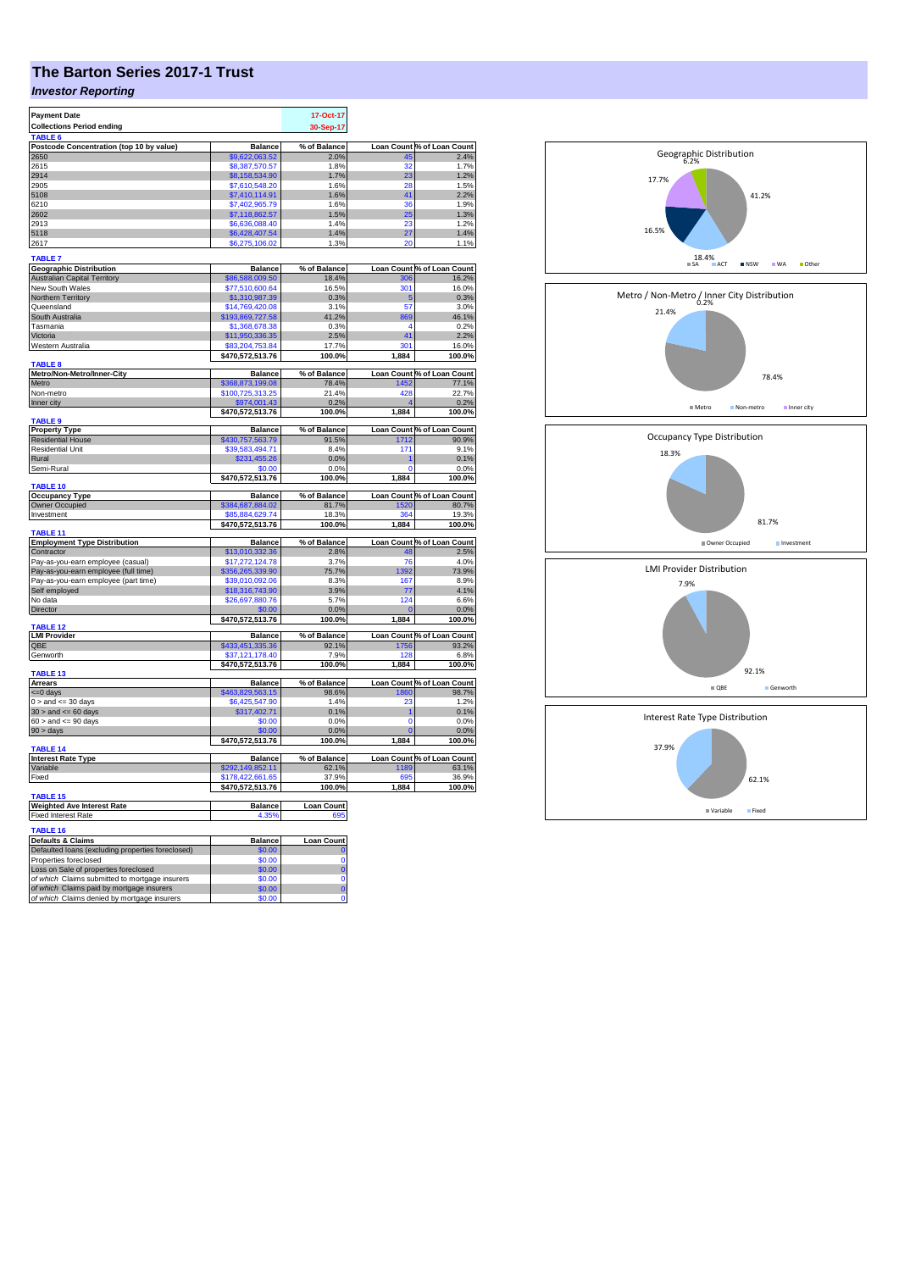## **The Barton Series 2017-1 Trust**

## *Investor Reporting*

| <b>Payment Date</b>                                                                      |                                    | 17-Oct-17             |             |                                     |
|------------------------------------------------------------------------------------------|------------------------------------|-----------------------|-------------|-------------------------------------|
| <b>Collections Period ending</b>                                                         |                                    | 30-Sep-17             |             |                                     |
| TABLE 6                                                                                  |                                    |                       |             |                                     |
| Postcode Concentration (top 10 by value)                                                 | <b>Balance</b>                     | % of Balance          |             | Loan Count % of Loan Count          |
| 2650                                                                                     | \$9,622,063.52                     | 2.0%                  | 45          | 2.4%                                |
| 2615                                                                                     | \$8,387,570.57                     | 1.8%                  | 32          | 1.7%                                |
| 2914                                                                                     | \$8,158,534.90                     | 1.7%                  | 23          | 1.2%                                |
| 2905                                                                                     | \$7,610,548.20                     | 1.6%                  | 28          | 1.5%                                |
| 5108                                                                                     | \$7,410,114.91                     | 1.6%                  | 41          | 2.2%                                |
| 6210                                                                                     | \$7,402,965.79                     | 1.6%                  | 36          | 1.9%                                |
| 2602                                                                                     | \$7,118,862.57                     | 1.5%                  | 25          | 1.3%                                |
| 2913                                                                                     | \$6,636,088.40                     | 1.4%                  | 23          | 1.2%                                |
| 5118                                                                                     | \$6,428,407.54                     | 1.4%                  | 27          | 1.4%                                |
| 2617                                                                                     | \$6,275,106.02                     | 1.3%                  | 20          | 1.1%                                |
|                                                                                          |                                    |                       |             |                                     |
| <b>TABLE 7</b>                                                                           |                                    |                       |             |                                     |
| <b>Geographic Distribution</b>                                                           | <b>Balance</b>                     | % of Balance          |             | Loan Count % of Loan Count          |
| <b>Australian Capital Territory</b>                                                      | \$86,588,009.50                    | 18.4%                 | 306         | 16.2%                               |
| New South Wales                                                                          | \$77,510,600.64                    | 16.5%                 | 301         | 16.0%                               |
| Northern Territory                                                                       | \$1,310,987.39                     | 0.3%                  | 5           | 0.3%                                |
| Queensland                                                                               | \$14,769,420.08                    | 3.1%                  | 57          | 3.0%                                |
| South Australia                                                                          | \$193,869,727.58                   | 41.2%                 | 869         | 46.1%                               |
| Tasmania                                                                                 | \$1,368,678.38                     | 0.3%                  | 4           | 0.2%                                |
| Victoria                                                                                 | \$11,950,336.35                    | 2.5%                  | 41          | 2.2%                                |
| Western Australia                                                                        | \$83,204,753.84                    | 17.7%                 | 301         | 16.0%                               |
|                                                                                          | \$470,572,513.76                   | 100.0%                | 1,884       | 100.0%                              |
| <b>TABLE 8</b>                                                                           |                                    |                       |             |                                     |
| Metro/Non-Metro/Inner-City                                                               | <b>Balance</b>                     | % of Balance          |             | Loan Count % of Loan Count          |
| Metro                                                                                    | \$368,873,199.08                   | 78.4%                 | 1452        | 77.1%                               |
| Non-metro                                                                                | \$100,725,313.25                   | 21.4%                 | 428         | 22.7%                               |
| Inner city                                                                               | \$974,001.43                       | 0.2%                  |             | 0.2%                                |
|                                                                                          | \$470,572,513.76                   | 100.0%                | 1,884       | 100.0%                              |
| <b>TABLE 9</b>                                                                           |                                    |                       |             |                                     |
| <b>Property Type</b><br><b>Residential House</b>                                         | <b>Balance</b><br>\$430,757,563.79 | % of Balance<br>91.5% |             | Loan Count % of Loan Count<br>90.9% |
| <b>Residential Unit</b>                                                                  |                                    | 8.4%                  | 1712<br>171 |                                     |
| Rural                                                                                    | \$39,583,494.71<br>\$231,455.26    | 0.0%                  |             | 9.1%<br>0.1%                        |
| Semi-Rural                                                                               | \$0.00                             | 0.0%                  | $\Omega$    | 0.0%                                |
|                                                                                          | \$470,572,513.76                   | 100.0%                | 1,884       | 100.0%                              |
| TABLE 10                                                                                 |                                    |                       |             |                                     |
| <b>Occupancy Type</b>                                                                    | <b>Balance</b>                     | % of Balance          |             | Loan Count % of Loan Count          |
| <b>Owner Occupied</b>                                                                    | \$384,687,884.02                   | 81.7%                 | 1520        | 80.7%                               |
| Investment                                                                               | \$85,884,629.74                    | 18.3%                 | 364         | 19.3%                               |
|                                                                                          | \$470,572,513.76                   | 100.0%                | 1,884       | 100.0%                              |
| <b>TABLE 11</b>                                                                          |                                    |                       |             |                                     |
| <b>Employment Type Distribution</b>                                                      | <b>Balance</b>                     | % of Balance          |             | Loan Count % of Loan Count          |
| Contractor                                                                               | \$13,010,332.36                    | 2.8%                  | 48          | 2.5%                                |
| Pay-as-you-earn employee (casual)                                                        | \$17,272,124.78                    | 3.7%                  | 76          | 4.0%                                |
| Pay-as-you-earn employee (full time)                                                     | \$356,265,339.90                   | 75.7%                 | 1392        | 73.9%                               |
| Pay-as-you-earn employee (part time)                                                     | \$39,010,092.06                    | 8.3%                  | 167         | 8.9%                                |
| Self employed                                                                            | \$18,316,743.90                    | 3.9%                  | 77          | 4.1%                                |
| No data                                                                                  | \$26,697,880.76                    | 5.7%                  | 124         | 6.6%                                |
| <b>Director</b>                                                                          | \$0.00                             | 0.0%                  | 0           | 0.0%                                |
|                                                                                          | \$470,572,513.76                   | 100.0%                | 1,884       | 100.0%                              |
| <b>TABLE 12</b>                                                                          |                                    |                       |             |                                     |
| <b>LMI Provider</b>                                                                      | <b>Balance</b>                     | % of Balance          |             | Loan Count % of Loan Count          |
| QBE                                                                                      | \$433,451,335.36                   | 92.1%                 | 1756        | 93.2%                               |
| Genworth                                                                                 | \$37,121,178.40                    | 7.9%                  | 128         | 6.8%                                |
| <b>TABLE 13</b>                                                                          | \$470,572,513.76                   | 100.0%                | 1,884       | 100.0%                              |
| <b>Arrears</b>                                                                           | <b>Balance</b>                     | % of Balance          |             | Loan Count % of Loan Count          |
| <= 0 days                                                                                | \$463,829,563.15                   | 98.6%                 | 1860        | 98.7%                               |
| $0 >$ and $\lt = 30$ days                                                                | \$6,425,547.90                     | 1.4%                  | 23          | 1.2%                                |
| $30 >$ and $\leq 60$ days                                                                | \$317,402.71                       | 0.1%                  | 1           | 0.1%                                |
| $60 >$ and $\leq 90$ days                                                                | \$0.00                             | 0.0%                  | 0           | 0.0%                                |
| $90 > \text{days}$                                                                       | \$0.00                             | 0.0%                  |             | 0.0%                                |
|                                                                                          | \$470,572,513.76                   | 100.0%                | 1,884       | 100.0%                              |
| <b>TABLE 14</b>                                                                          |                                    |                       |             |                                     |
| <b>Interest Rate Type</b>                                                                | <b>Balance</b>                     | % of Balance          |             | Loan Count % of Loan Count          |
| Variable                                                                                 | \$292,149,852.11                   | 62.1%                 | 1189        | 63.1%                               |
| Fixed                                                                                    | \$178,422,661.65                   | 37.9%                 | 695         | 36.9%                               |
|                                                                                          | \$470,572,513.76                   | 100.0%                | 1,884       | 100.0%                              |
| <b>TABLE 15</b>                                                                          |                                    |                       |             |                                     |
| <b>Weighted Ave Interest Rate</b>                                                        | <b>Balance</b>                     | <b>Loan Count</b>     |             |                                     |
| <b>Fixed Interest Rate</b>                                                               | 4.35%                              | 695                   |             |                                     |
|                                                                                          |                                    |                       |             |                                     |
| <b>TABLE 16</b>                                                                          |                                    |                       |             |                                     |
| <b>Defaults &amp; Claims</b>                                                             | <b>Balance</b>                     | <b>Loan Count</b>     |             |                                     |
| Defaulted loans (excluding properties foreclosed)                                        | \$0.00                             | $\bf{0}$              |             |                                     |
| Properties foreclosed                                                                    | \$0.00                             | 0                     |             |                                     |
| Loss on Sale of properties foreclosed<br>of which Claims submitted to mortgage insurers  | \$0.00                             | $\overline{0}$        |             |                                     |
|                                                                                          | \$0.00<br>\$0.00                   | 0<br>$\overline{0}$   |             |                                     |
| of which Claims paid by mortgage insurers<br>of which Claims denied by mortgage insurers | \$0.00                             | O                     |             |                                     |
|                                                                                          |                                    |                       |             |                                     |